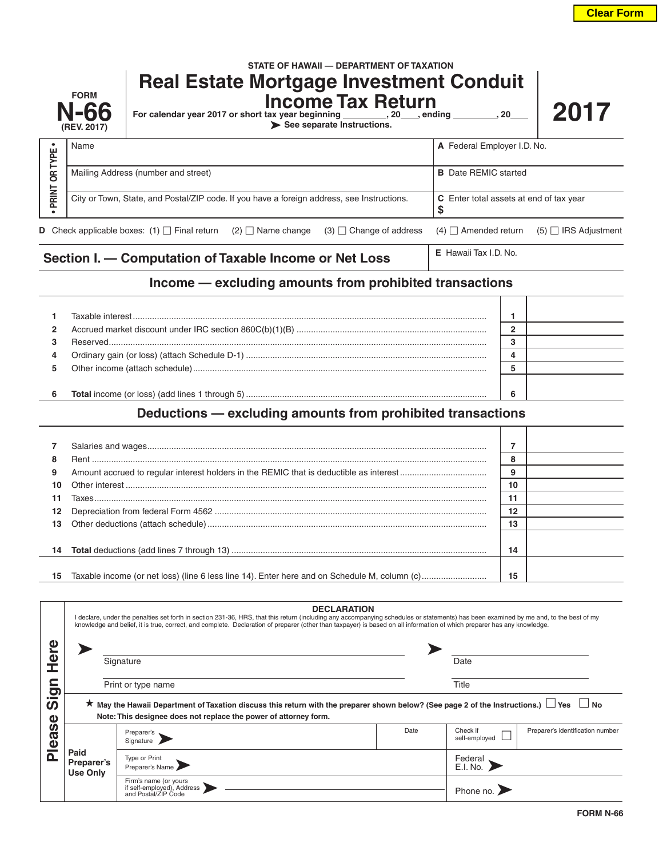|                | <b>FORM</b><br><b>N-66</b><br>(REV. 2017)                                                  | STATE OF HAWAII - DEPARTMENT OF TAXATION<br><b>Real Estate Mortgage Investment Conduit</b><br><b>Income Tax Return</b><br>For calendar year 2017 or short tax year beginning _________, 20___, ending ________, 20__<br>See separate Instructions. |                   |                                |                                         |                             |                             |
|----------------|--------------------------------------------------------------------------------------------|----------------------------------------------------------------------------------------------------------------------------------------------------------------------------------------------------------------------------------------------------|-------------------|--------------------------------|-----------------------------------------|-----------------------------|-----------------------------|
| TYPE           | Name                                                                                       |                                                                                                                                                                                                                                                    |                   |                                |                                         | A Federal Employer I.D. No. |                             |
| $\overline{5}$ |                                                                                            | Mailing Address (number and street)                                                                                                                                                                                                                |                   |                                |                                         | <b>B</b> Date REMIC started |                             |
| <b>PRINT</b>   | City or Town, State, and Postal/ZIP code. If you have a foreign address, see Instructions. |                                                                                                                                                                                                                                                    |                   |                                | C Enter total assets at end of tax year |                             |                             |
|                |                                                                                            | <b>D</b> Check applicable boxes: $(1)$ $\Box$ Final return                                                                                                                                                                                         | $(2)$ Name change | $(3)$ $\Box$ Change of address |                                         | $(4)$ $\Box$ Amended return | $(5)$ $\Box$ IRS Adjustment |

## **Section I. — Computation of Taxable Income or Net Loss <b>E** Hawaii Tax I.D. No.

## **Income — excluding amounts from prohibited transactions**

| 4  |  |  |
|----|--|--|
| 5. |  |  |
|    |  |  |
| 6  |  |  |

## **Deductions — excluding amounts from prohibited transactions**

| 7               |        |  |
|-----------------|--------|--|
| 8               | ິ<br>o |  |
| 9               | 9      |  |
| 10.             | 10     |  |
| 11              | 11     |  |
| 12 <sup>°</sup> | 12     |  |
|                 | 13     |  |
|                 |        |  |
|                 | 14     |  |
|                 |        |  |
| 15              | 15     |  |

|                                                                                               |                                       | <b>DECLARATION</b><br>I declare, under the penalties set forth in section 231-36, HRS, that this return (including any accompanying schedules or statements) has been examined by me and, to the best of my<br>knowledge and belief, it is true, correct, and complete. Declaration of preparer (other than taxpayer) is based on all information of which preparer has any knowledge. |      |                           |                                  |  |  |
|-----------------------------------------------------------------------------------------------|---------------------------------------|----------------------------------------------------------------------------------------------------------------------------------------------------------------------------------------------------------------------------------------------------------------------------------------------------------------------------------------------------------------------------------------|------|---------------------------|----------------------------------|--|--|
| O<br>5<br>.<br>$\boldsymbol{\omega}$<br>Φ<br><b>S</b><br>Ø<br>$\ddot{\mathbf{0}}$<br>$\Omega$ |                                       | Signature                                                                                                                                                                                                                                                                                                                                                                              |      |                           | Date                             |  |  |
|                                                                                               |                                       | Print or type name                                                                                                                                                                                                                                                                                                                                                                     |      | Title                     |                                  |  |  |
|                                                                                               |                                       | ★ May the Hawaii Department of Taxation discuss this return with the preparer shown below? (See page 2 of the Instructions.) $\Box$ Yes $\Box$ No<br>Note: This designee does not replace the power of attorney form.                                                                                                                                                                  |      |                           |                                  |  |  |
|                                                                                               | Paid<br>Preparer's<br><b>Use Only</b> | Preparer's<br>Signature                                                                                                                                                                                                                                                                                                                                                                | Date | Check if<br>self-employed | Preparer's identification number |  |  |
|                                                                                               |                                       | Type or Print<br>Preparer's Name                                                                                                                                                                                                                                                                                                                                                       |      | Federal                   |                                  |  |  |
|                                                                                               |                                       | Firm's name (or yours<br>if self-employed), Address<br>and Postal/ZIP Code                                                                                                                                                                                                                                                                                                             |      | Phone no.                 |                                  |  |  |